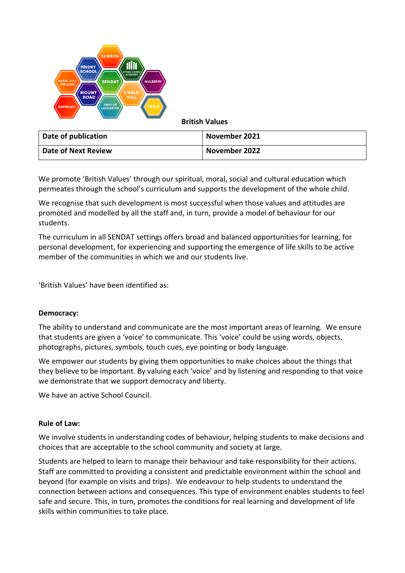

We promote 'British Values' through our spiritual, moral, social and cultural education which permeates through the school's curriculum and supports the development of the whole child.

We recognise that such development is most successful when those values and attitudes are promoted and modelled by all the staff and, in turn, provide a model of behaviour for our students.

The curriculum in all SENDAT settings offers broad and balanced opportunities for learning, for personal development, for experiencing and supporting the emergence of life skills to be active member of the communities in which we and our students live.

'British Values' have been identified as:

### **Democracy:**

The ability to understand and communicate are the most important areas of learning. We ensure that students are given a 'voice' to communicate. This 'voice' could be using words, objects, photographs, pictures, symbols, touch cues, eye pointing or body language.

We empower our students by giving them opportunities to make choices about the things that they believe to be important. By valuing each 'voice' and by listening and responding to that voice we demonstrate that we support democracy and liberty.

We have an active School Council.

# **Rule of Law:**

We involve students in understanding codes of behaviour, helping students to make decisions and choices that are acceptable to the school community and society at large.

Students are helped to learn to manage their behaviour and take responsibility for their actions. Staff are committed to providing a consistent and predictable environment within the school and beyond (for example on visits and trips). We endeavour to help students to understand the connection between actions and consequences. This type of environment enables students to feel safe and secure. This, in turn, promotes the conditions for real learning and development of life skills within communities to take place.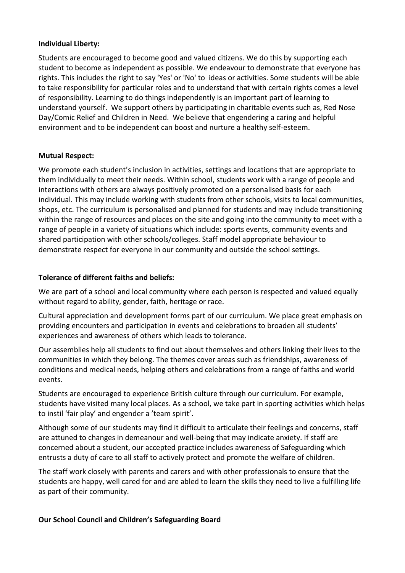### **Individual Liberty:**

Students are encouraged to become good and valued citizens. We do this by supporting each student to become as independent as possible. We endeavour to demonstrate that everyone has rights. This includes the right to say 'Yes' or 'No' to ideas or activities. Some students will be able to take responsibility for particular roles and to understand that with certain rights comes a level of responsibility. Learning to do things independently is an important part of learning to understand yourself. We support others by participating in charitable events such as, Red Nose Day/Comic Relief and Children in Need. We believe that engendering a caring and helpful environment and to be independent can boost and nurture a healthy self-esteem.

# **Mutual Respect:**

We promote each student's inclusion in activities, settings and locations that are appropriate to them individually to meet their needs. Within school, students work with a range of people and interactions with others are always positively promoted on a personalised basis for each individual. This may include working with students from other schools, visits to local communities, shops, etc. The curriculum is personalised and planned for students and may include transitioning within the range of resources and places on the site and going into the community to meet with a range of people in a variety of situations which include: sports events, community events and shared participation with other schools/colleges. Staff model appropriate behaviour to demonstrate respect for everyone in our community and outside the school settings.

## **Tolerance of different faiths and beliefs:**

We are part of a school and local community where each person is respected and valued equally without regard to ability, gender, faith, heritage or race.

Cultural appreciation and development forms part of our curriculum. We place great emphasis on providing encounters and participation in events and celebrations to broaden all students' experiences and awareness of others which leads to tolerance.

Our assemblies help all students to find out about themselves and others linking their lives to the communities in which they belong. The themes cover areas such as friendships, awareness of conditions and medical needs, helping others and celebrations from a range of faiths and world events.

Students are encouraged to experience British culture through our curriculum. For example, students have visited many local places. As a school, we take part in sporting activities which helps to instil 'fair play' and engender a 'team spirit'.

Although some of our students may find it difficult to articulate their feelings and concerns, staff are attuned to changes in demeanour and well-being that may indicate anxiety. If staff are concerned about a student, our accepted practice includes awareness of Safeguarding which entrusts a duty of care to all staff to actively protect and promote the welfare of children.

The staff work closely with parents and carers and with other professionals to ensure that the students are happy, well cared for and are abled to learn the skills they need to live a fulfilling life as part of their community.

# **Our School Council and Children's Safeguarding Board**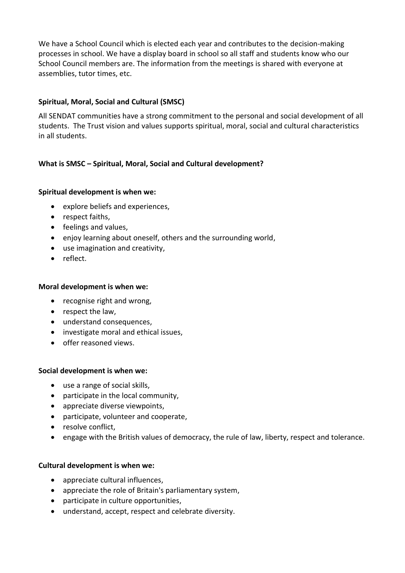We have a School Council which is elected each year and contributes to the decision-making processes in school. We have a display board in school so all staff and students know who our School Council members are. The information from the meetings is shared with everyone at assemblies, tutor times, etc.

# **Spiritual, Moral, Social and Cultural (SMSC)**

All SENDAT communities have a strong commitment to the personal and social development of all students. The Trust vision and values supports spiritual, moral, social and cultural characteristics in all students.

# **What is SMSC – Spiritual, Moral, Social and Cultural development?**

## **Spiritual development is when we:**

- explore beliefs and experiences,
- respect faiths,
- feelings and values,
- enjoy learning about oneself, others and the surrounding world,
- use imagination and creativity,
- reflect.

### **Moral development is when we:**

- recognise right and wrong,
- respect the law,
- understand consequences,
- investigate moral and ethical issues,
- offer reasoned views.

### **Social development is when we:**

- use a range of social skills,
- participate in the local community,
- appreciate diverse viewpoints,
- participate, volunteer and cooperate,
- resolve conflict,
- engage with the British values of democracy, the rule of law, liberty, respect and tolerance.

### **Cultural development is when we:**

- appreciate cultural influences,
- appreciate the role of Britain's parliamentary system,
- participate in culture opportunities,
- understand, accept, respect and celebrate diversity.